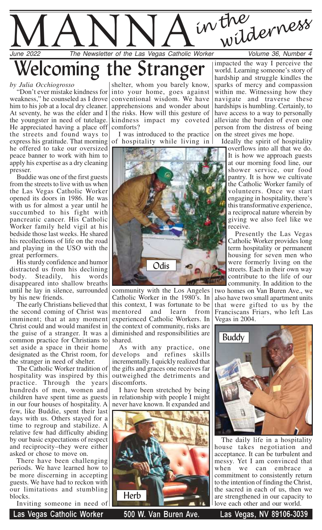MANNA<sup>in the</sup> June 2022 The Newsletter of the Las Vegas Catholic Worker V wilderness Volume 36, Number 4

# 'elcoming the Stranger

*by Julia Occhiogrosso*

"Don't ever mistake kindness for weakness," he counseled as I drove him to his job at a local dry cleaner. At seventy, he was the elder and I the youngster in need of tutelage. He appreciated having a place off the streets and found ways to express his gratitude. That morning he offered to take our oversized peace banner to work with him to apply his expertise as a dry cleaning presser.

Buddie was one of the first guests from the streets to live with us when the Las Vegas Catholic Worker opened its doors in 1986. He was with us for almost a year until he succumbed to his fight with pancreatic cancer. His Catholic Worker family held vigil at his bedside those last weeks. He shared his recollections of life on the road and playing in the USO with the great performers.

His sturdy confidence and humor distracted us from his declining body. Steadily, his words disappeared into shallow breaths until he lay in silence, surrounded by his new friends.

The early Christians believed that the second coming of Christ was imminent; that at any moment Christ could and would manifest in the guise of a stranger. It was a common practice for Christians to set aside a space in their home designated as the Christ room, for the stranger in need of shelter.

The Catholic Worker tradition of hospitality was inspired by this practice. Through the years hundreds of men, women and children have spent time as guests in our four houses of hospitality. A few, like Buddie, spent their last days with us. Others stayed for a time to regroup and stabilize. A relative few had difficulty abiding by our basic expectations of respect and reciprocity–they were either asked or chose to move on.

There have been challenging periods. We have learned how to be more discerning in accepting guests. We have had to reckon with our limitations and stumbling blocks.

Inviting someone in need of Las Vegas Catholic Worker

shelter, whom you barely know, into your home, goes against conventional wisdom. We have apprehensions and wonder about the risks. How will this gesture of kindness impact my coveted comforts?

I was introduced to the practice of hospitality while living in



community with the Los Angeles Catholic Worker in the 1980's. In this context, I was fortunate to be mentored and learn from experienced Catholic Workers. In the context of community, risks are diminished and responsibilities are shared.

As with any practice, one develops and refines skills incrementally. I quickly realized that the gifts and graces one receives far outweighed the detriments and discomforts.

I have been stretched by being in relationship with people I might never have known. It expanded and



500 W. Van Buren Ave.

impacted the way I perceive the world. Learning someone's story of hardship and struggle kindles the sparks of mercy and compassion within me. Witnessing how they navigate and traverse these hardships is humbling. Certainly, to have access to a way to personally alleviate the burden of even one person from the distress of being on the street gives me hope.

Ideally the spirit of hospitality

overflows into all that we do. It is how we approach guests at our morning food line, our shower service, our food pantry. It is how we cultivate the Catholic Worker family of volunteers. Once we start engaging in hospitality, there's this transformative experience, a reciprocal nature wherein by giving we also feel like we receive.

Presently the Las Vegas Catholic Worker provides long term hospitality or permanent housing for seven men who were formerly living on the streets. Each in their own way contribute to the life of our community. In addition to the

two homes on Van Buren Ave., we also have two small apartment units that were gifted to us by the Franciscans Friars, who left Las Vegas in 2004.



The daily life in a hospitality house takes negotiation and acceptance. It can be turbulent and messy. Yet I am convinced that when we can embrace a commitment to consistently return to the intention of finding the Christ, the sacred in each of us, then we are strengthened in our capacity to love each other and our world.

Las Vegas, NV 89106-3039